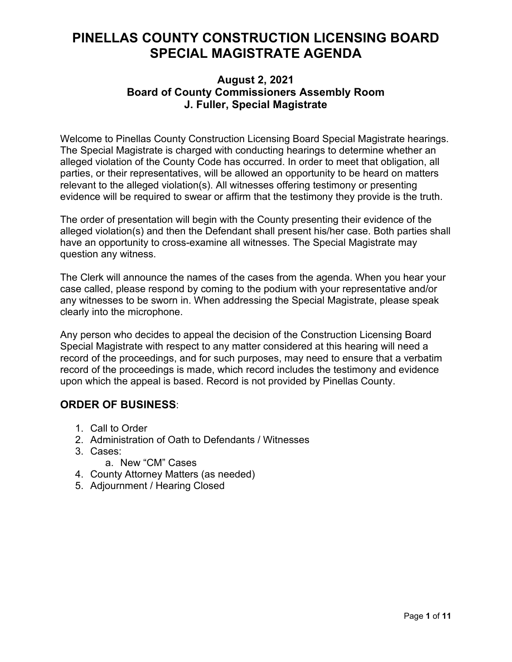# **PINELLAS COUNTY CONSTRUCTION LICENSING BOARD SPECIAL MAGISTRATE AGENDA**

# **August 2, 2021 Board of County Commissioners Assembly Room J. Fuller, Special Magistrate**

Welcome to Pinellas County Construction Licensing Board Special Magistrate hearings. The Special Magistrate is charged with conducting hearings to determine whether an alleged violation of the County Code has occurred. In order to meet that obligation, all parties, or their representatives, will be allowed an opportunity to be heard on matters relevant to the alleged violation(s). All witnesses offering testimony or presenting evidence will be required to swear or affirm that the testimony they provide is the truth.

The order of presentation will begin with the County presenting their evidence of the alleged violation(s) and then the Defendant shall present his/her case. Both parties shall have an opportunity to cross-examine all witnesses. The Special Magistrate may question any witness.

The Clerk will announce the names of the cases from the agenda. When you hear your case called, please respond by coming to the podium with your representative and/or any witnesses to be sworn in. When addressing the Special Magistrate, please speak clearly into the microphone.

Any person who decides to appeal the decision of the Construction Licensing Board Special Magistrate with respect to any matter considered at this hearing will need a record of the proceedings, and for such purposes, may need to ensure that a verbatim record of the proceedings is made, which record includes the testimony and evidence upon which the appeal is based. Record is not provided by Pinellas County.

# **ORDER OF BUSINESS**:

- 1. Call to Order
- 2. Administration of Oath to Defendants / Witnesses
- 3. Cases:
	- a. New "CM" Cases
- 4. County Attorney Matters (as needed)
- 5. Adjournment / Hearing Closed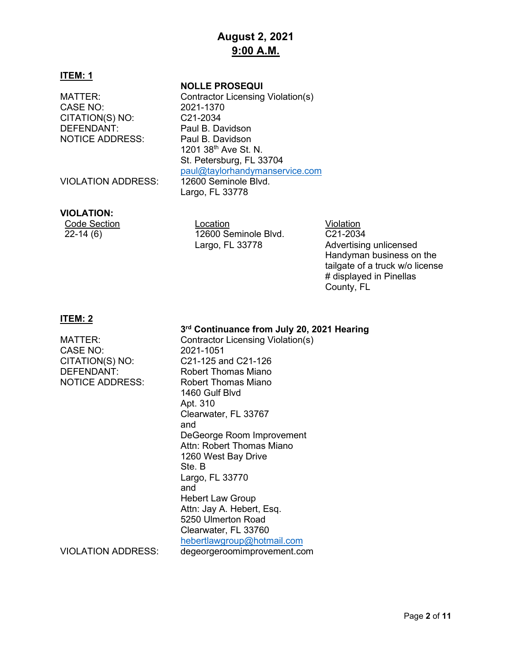# **August 2, 2021 9:00 A.M.**

## **ITEM: 1**

CASE NO: CITATION(S) NO: C21-2034 DEFENDANT: Paul B. Davidson NOTICE ADDRESS: Paul B. Davidson

#### **NOLLE PROSEQUI**

MATTER: Contractor Licensing Violation(s)<br>CASE NO: 2021-1370 1201 38th Ave St. N. St. Petersburg, FL 33704 [paul@taylorhandymanservice.com](mailto:paul@taylorhandymanservice.com)<br>12600 Seminole Blyd Largo, FL 33778

VIOLATION ADDRESS:

#### **VIOLATION:**

Code Section Location Location Location Violation<br>22-14 (6) 12600 Seminole Blvd. C21-203 12600 Seminole Blvd. Largo, FL 33778

C21-2034 Advertising unlicensed Handyman business on the tailgate of a truck w/o license # displayed in Pinellas County, FL

## **ITEM: 2**

# **3rd Continuance from July 20, 2021 Hearing**

MATTER: Contractor Licensing Violation(s) CASE NO: 2021-1051 CITATION(S) NO: C21-125 and C21-126 DEFENDANT: Robert Thomas Miano NOTICE ADDRESS: Robert Thomas Miano 1460 Gulf Blvd Apt. 310 Clearwater, FL 33767 and DeGeorge Room Improvement Attn: Robert Thomas Miano 1260 West Bay Drive Ste. B Largo, FL 33770 and Hebert Law Group Attn: Jay A. Hebert, Esq. 5250 Ulmerton Road Clearwater, FL 33760 [hebertlawgroup@hotmail.com](mailto:hebertlawgroup@hotmail.com) VIOLATION ADDRESS: degeorgeroomimprovement.com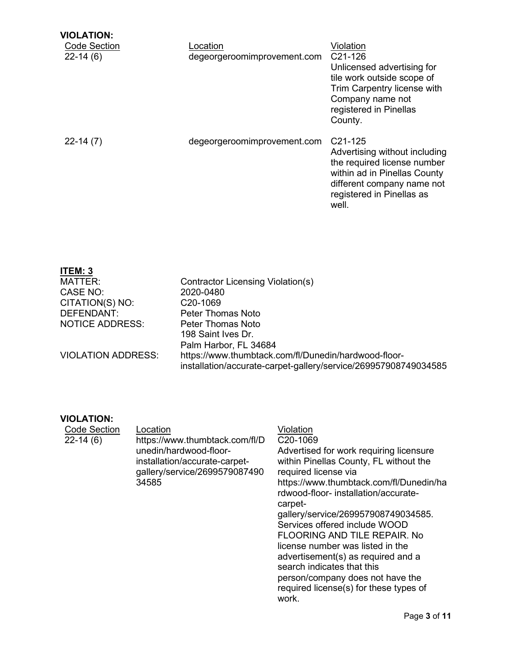| <b>VIOLATION:</b><br><b>Code Section</b><br>$22-14(6)$ | Location<br>degeorgeroomimprovement.com | Violation<br>C <sub>21</sub> -126<br>Unlicensed advertising for<br>tile work outside scope of<br>Trim Carpentry license with<br>Company name not<br>registered in Pinellas<br>County.    |
|--------------------------------------------------------|-----------------------------------------|------------------------------------------------------------------------------------------------------------------------------------------------------------------------------------------|
| $22-14(7)$                                             | degeorgeroomimprovement.com             | C <sub>21</sub> -125<br>Advertising without including<br>the required license number<br>within ad in Pinellas County<br>different company name not<br>registered in Pinellas as<br>well. |

| <b>ITEM: 3</b>            |                                                                                                                         |
|---------------------------|-------------------------------------------------------------------------------------------------------------------------|
| MATTER:                   | Contractor Licensing Violation(s)                                                                                       |
| CASE NO:                  | 2020-0480                                                                                                               |
| CITATION(S) NO:           | C <sub>20</sub> -1069                                                                                                   |
| DEFENDANT:                | Peter Thomas Noto                                                                                                       |
| <b>NOTICE ADDRESS:</b>    | Peter Thomas Noto                                                                                                       |
|                           | 198 Saint Ives Dr.                                                                                                      |
|                           | Palm Harbor, FL 34684                                                                                                   |
| <b>VIOLATION ADDRESS:</b> | https://www.thumbtack.com/fl/Dunedin/hardwood-floor-<br>installation/accurate-carpet-gallery/service/269957908749034585 |

## **VIOLATION:**

| <b>Code Section</b> | Location                                                                                          | Violation                                                                                                                                                                                                                                                                                                                                                                                                                                                                                                    |
|---------------------|---------------------------------------------------------------------------------------------------|--------------------------------------------------------------------------------------------------------------------------------------------------------------------------------------------------------------------------------------------------------------------------------------------------------------------------------------------------------------------------------------------------------------------------------------------------------------------------------------------------------------|
| 22-14 (6)           | https://www.thumbtack.com/fl/D                                                                    | C <sub>20</sub> -1069                                                                                                                                                                                                                                                                                                                                                                                                                                                                                        |
|                     | unedin/hardwood-floor-<br>installation/accurate-carpet-<br>gallery/service/2699579087490<br>34585 | Advertised for work requiring licensure<br>within Pinellas County, FL without the<br>required license via<br>https://www.thumbtack.com/fl/Dunedin/ha<br>rdwood-floor- installation/accurate-<br>carpet-<br>gallery/service/269957908749034585.<br>Services offered include WOOD<br><b>FLOORING AND TILE REPAIR. No</b><br>license number was listed in the<br>advertisement(s) as required and a<br>search indicates that this<br>person/company does not have the<br>required license(s) for these types of |
|                     |                                                                                                   | work.                                                                                                                                                                                                                                                                                                                                                                                                                                                                                                        |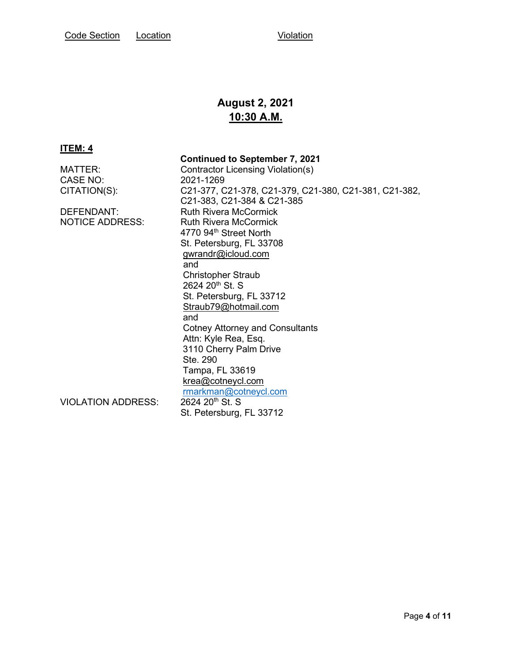# **August 2, 2021 10:30 A.M.**

#### **ITEM: 4**

 **Continued to September 7, 2021** MATTER: Contractor Licensing Violation(s) CASE NO: 2021-1269 CITATION(S): C21-377, C21-378, C21-379, C21-380, C21-381, C21-382, C21-383, C21-384 & C21-385 DEFENDANT: Ruth Rivera McCormick<br>
NOTICE ADDRESS: Ruth Rivera McCormick Ruth Rivera McCormick 4770 94<sup>th</sup> Street North St. Petersburg, FL 33708 [gwrandr@icloud.com](mailto:gwrandr@icloud.com) and Christopher Straub 2624 20<sup>th</sup> St. S St. Petersburg, FL 33712 [Straub79@hotmail.com](mailto:Straub79@hotmail.com) and a state of the state of the state of the state of the state of the state of the state of the state of the Cotney Attorney and Consultants Attn: Kyle Rea, Esq. 3110 Cherry Palm Drive Ste. 290 Tampa, FL 33619 [krea@cotneycl.com](mailto:krea@cotneycl.com) [rmarkman@cotneycl.com](mailto:rmarkman@cotneycl.com)<br>2624 20<sup>th</sup> St. S VIOLATION ADDRESS: St. Petersburg, FL 33712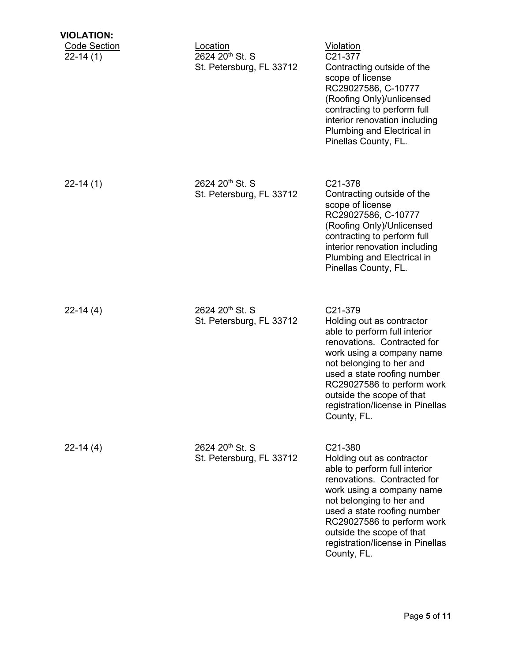| <b>VIOLATION:</b>                 |                                                                     |                                                                                                                                                                                                                                                                                                            |
|-----------------------------------|---------------------------------------------------------------------|------------------------------------------------------------------------------------------------------------------------------------------------------------------------------------------------------------------------------------------------------------------------------------------------------------|
| <b>Code Section</b><br>$22-14(1)$ | Location<br>2624 20 <sup>th</sup> St. S<br>St. Petersburg, FL 33712 | Violation<br>C21-377<br>Contracting outside of the<br>scope of license<br>RC29027586, C-10777<br>(Roofing Only)/unlicensed<br>contracting to perform full<br>interior renovation including<br>Plumbing and Electrical in<br>Pinellas County, FL.                                                           |
| $22-14(1)$                        | 2624 20 <sup>th</sup> St. S<br>St. Petersburg, FL 33712             | C21-378<br>Contracting outside of the<br>scope of license<br>RC29027586, C-10777<br>(Roofing Only)/Unlicensed<br>contracting to perform full<br>interior renovation including<br>Plumbing and Electrical in<br>Pinellas County, FL.                                                                        |
| $22-14(4)$                        | 2624 20 <sup>th</sup> St. S<br>St. Petersburg, FL 33712             | C21-379<br>Holding out as contractor<br>able to perform full interior<br>renovations. Contracted for<br>work using a company name<br>not belonging to her and<br>used a state roofing number<br>RC29027586 to perform work<br>outside the scope of that<br>registration/license in Pinellas<br>County, FL. |
| $22-14(4)$                        | 2624 20 <sup>th</sup> St. S<br>St. Petersburg, FL 33712             | C21-380<br>Holding out as contractor<br>able to perform full interior<br>renovations. Contracted for<br>work using a company name<br>not belonging to her and<br>used a state roofing number<br>RC29027586 to perform work<br>outside the scope of that<br>registration/license in Pinellas<br>County, FL. |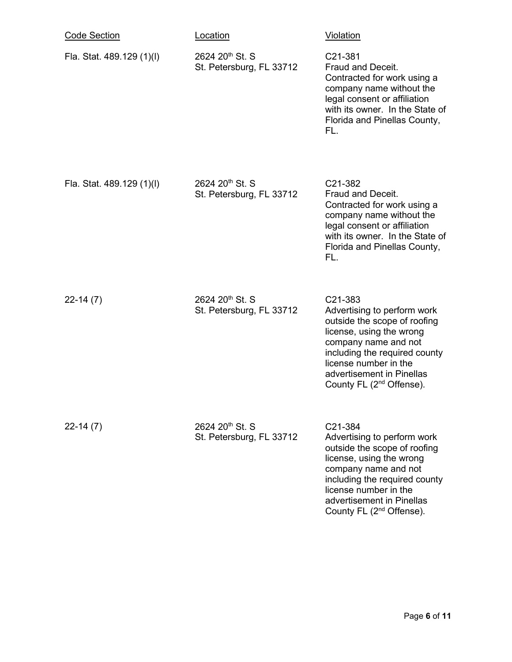| <b>Code Section</b>       | <u>Location</u>                                         | <b>Violation</b>                                                                                                                                                                                                                                          |
|---------------------------|---------------------------------------------------------|-----------------------------------------------------------------------------------------------------------------------------------------------------------------------------------------------------------------------------------------------------------|
| Fla. Stat. 489.129 (1)(l) | 2624 20 <sup>th</sup> St. S<br>St. Petersburg, FL 33712 | C21-381<br>Fraud and Deceit.<br>Contracted for work using a<br>company name without the<br>legal consent or affiliation<br>with its owner. In the State of<br>Florida and Pinellas County,<br>FL.                                                         |
| Fla. Stat. 489.129 (1)(l) | 2624 20 <sup>th</sup> St. S<br>St. Petersburg, FL 33712 | C <sub>21</sub> -382<br>Fraud and Deceit.<br>Contracted for work using a<br>company name without the<br>legal consent or affiliation<br>with its owner. In the State of<br>Florida and Pinellas County,<br>FL.                                            |
| $22-14(7)$                | 2624 20 <sup>th</sup> St. S<br>St. Petersburg, FL 33712 | C21-383<br>Advertising to perform work<br>outside the scope of roofing<br>license, using the wrong<br>company name and not<br>including the required county<br>license number in the<br>advertisement in Pinellas<br>County FL $(2^{nd}$ Offense).        |
| $22-14(7)$                | 2624 20 <sup>th</sup> St. S<br>St. Petersburg, FL 33712 | C21-384<br>Advertising to perform work<br>outside the scope of roofing<br>license, using the wrong<br>company name and not<br>including the required county<br>license number in the<br>advertisement in Pinellas<br>County FL (2 <sup>nd</sup> Offense). |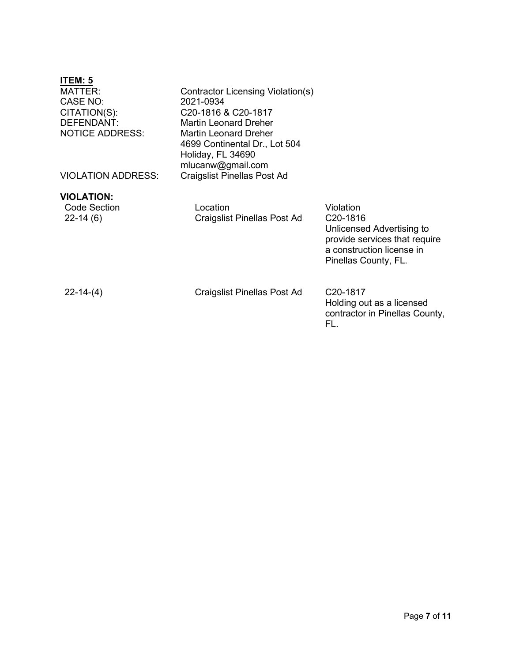| ITEM: 5                           |                                    |                                |
|-----------------------------------|------------------------------------|--------------------------------|
| <b>MATTER:</b>                    | Contractor Licensing Violation(s)  |                                |
| CASE NO:                          | 2021-0934                          |                                |
| CITATION(S):                      | C20-1816 & C20-1817                |                                |
| <b>DEFENDANT:</b>                 | <b>Martin Leonard Dreher</b>       |                                |
| <b>NOTICE ADDRESS:</b>            | <b>Martin Leonard Dreher</b>       |                                |
|                                   | 4699 Continental Dr., Lot 504      |                                |
|                                   | Holiday, FL 34690                  |                                |
|                                   | mlucanw@gmail.com                  |                                |
| <b>VIOLATION ADDRESS:</b>         | <b>Craigslist Pinellas Post Ad</b> |                                |
|                                   |                                    |                                |
| <b>VIOLATION:</b><br>Code Section | Location                           | Violation                      |
| $22-14(6)$                        | <b>Craigslist Pinellas Post Ad</b> | C <sub>20</sub> -1816          |
|                                   |                                    | Unlicensed Advertising to      |
|                                   |                                    | provide services that require  |
|                                   |                                    | a construction license in      |
|                                   |                                    | Pinellas County, FL.           |
|                                   |                                    |                                |
|                                   |                                    |                                |
| $22 - 14 - (4)$                   | <b>Craigslist Pinellas Post Ad</b> | C <sub>20</sub> -1817          |
|                                   |                                    | Holding out as a licensed      |
|                                   |                                    | contractor in Pinellas County, |
|                                   |                                    | FL.                            |
|                                   |                                    |                                |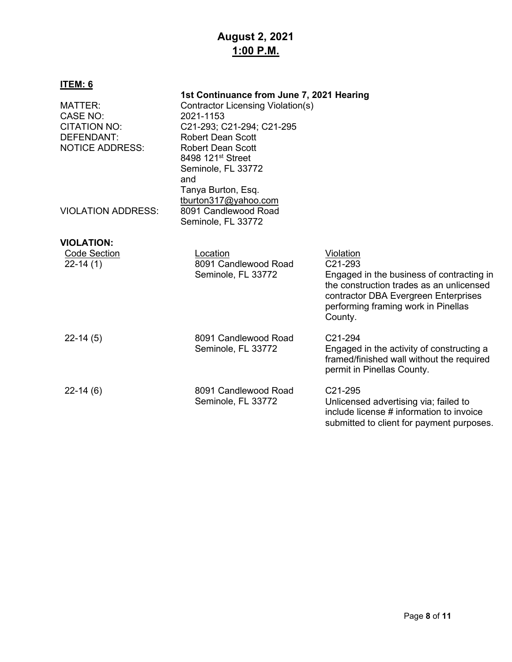# **August 2, 2021 1:00 P.M.**

# **ITEM: 6**

| MATTER:<br>CASE NO:<br><b>CITATION NO:</b><br>DEFENDANT:<br><b>NOTICE ADDRESS:</b> | 1st Continuance from June 7, 2021 Hearing<br><b>Contractor Licensing Violation(s)</b><br>2021-1153<br>C21-293; C21-294; C21-295<br><b>Robert Dean Scott</b><br><b>Robert Dean Scott</b><br>8498 121 <sup>st</sup> Street<br>Seminole, FL 33772<br>and |                                                                                                                                                                                                                      |
|------------------------------------------------------------------------------------|-------------------------------------------------------------------------------------------------------------------------------------------------------------------------------------------------------------------------------------------------------|----------------------------------------------------------------------------------------------------------------------------------------------------------------------------------------------------------------------|
| <b>VIOLATION ADDRESS:</b>                                                          | Tanya Burton, Esq.<br>tburton317@yahoo.com<br>8091 Candlewood Road<br>Seminole, FL 33772                                                                                                                                                              |                                                                                                                                                                                                                      |
| <b>VIOLATION:</b><br><b>Code Section</b><br>$22-14(1)$                             | Location<br>8091 Candlewood Road<br>Seminole, FL 33772                                                                                                                                                                                                | Violation<br>C <sub>21</sub> -293<br>Engaged in the business of contracting in<br>the construction trades as an unlicensed<br>contractor DBA Evergreen Enterprises<br>performing framing work in Pinellas<br>County. |
| $22-14(5)$                                                                         | 8091 Candlewood Road<br>Seminole, FL 33772                                                                                                                                                                                                            | C <sub>21</sub> -294<br>Engaged in the activity of constructing a<br>framed/finished wall without the required<br>permit in Pinellas County.                                                                         |
| $22-14(6)$                                                                         | 8091 Candlewood Road<br>Seminole, FL 33772                                                                                                                                                                                                            | C <sub>21</sub> -295<br>Unlicensed advertising via; failed to<br>include license # information to invoice<br>submitted to client for payment purposes.                                                               |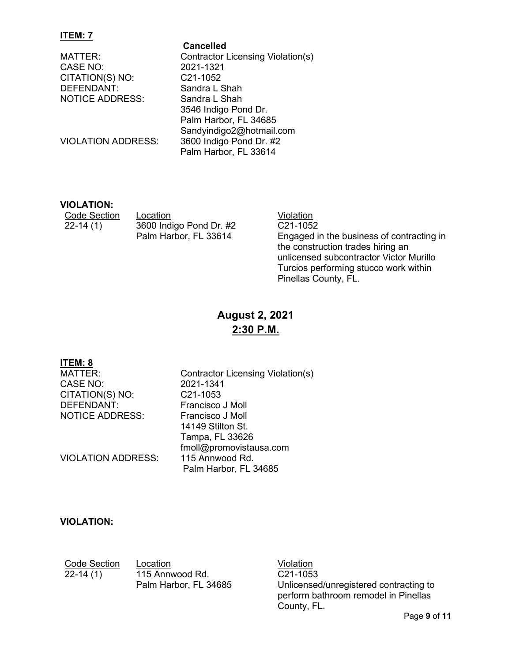### **ITEM: 7**

**Cancelled**<br>MATTER: Contractor L CASE NO: 2021-1321 CITATION(S) NO: C21-1052 DEFENDANT: Sandra L Shah NOTICE ADDRESS: Sandra L Shah

Contractor Licensing Violation(s) 3546 Indigo Pond Dr. Palm Harbor, FL 34685 Sandyindigo2@hotmail.com VIOLATION ADDRESS: 3600 Indigo Pond Dr. #2 Palm Harbor, FL 33614

## **VIOLATION:**

Code Section Location<br>22-14 (1) 3600 Indigo Pond Dr. #2 C21-105 3600 Indigo Pond Dr. #2 Palm Harbor, FL 33614

 $\overline{C21-1052}$ Engaged in the business of contracting in the construction trades hiring an unlicensed subcontractor Victor Murillo Turcios performing stucco work within Pinellas County, FL.

# **August 2, 2021 2:30 P.M.**

**ITEM: 8** CASE NO: 2021-1341 CITATION(S) NO: C21-1053<br>DEFENDANT: Francisco NOTICE ADDRESS:

VIOLATION ADDRESS: 115 Annwood Rd.

Contractor Licensing Violation(s) Francisco J Moll<br>Francisco J Moll 14149 Stilton St. Tampa, FL 33626 fmoll@promovistausa.com Palm Harbor, FL 34685

## **VIOLATION:**

**Code Section Location Code Section Code Section Code Section** 22-14 (1) 115 Annwood Rd. Palm Harbor, FL 34685

C21-1053 Unlicensed/unregistered contracting to perform bathroom remodel in Pinellas County, FL.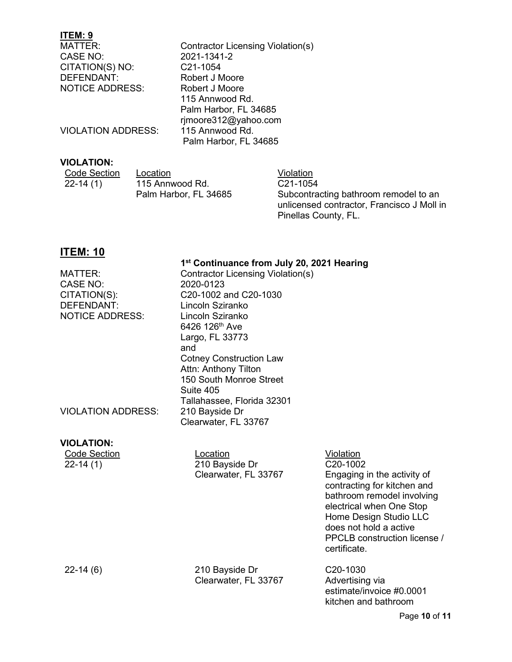## **ITEM: 9**

| MATTER:                   | Contractor Licensing Violation(s) |
|---------------------------|-----------------------------------|
| CASE NO:                  | 2021-1341-2                       |
| CITATION(S) NO:           | C <sub>21</sub> -1054             |
| DEFENDANT:                | Robert J Moore                    |
| <b>NOTICE ADDRESS:</b>    | Robert J Moore                    |
|                           | 115 Annwood Rd.                   |
|                           | Palm Harbor, FL 34685             |
|                           | rjmoore312@yahoo.com              |
| <b>VIOLATION ADDRESS:</b> | 115 Annwood Rd.                   |
|                           | Palm Harbor, FL 34685             |
|                           |                                   |

## **VIOLATION:**

| Code Section | Location              | Violation                                  |
|--------------|-----------------------|--------------------------------------------|
| $22 - 14(1)$ | 115 Annwood Rd.       | C <sub>21</sub> -1054                      |
|              | Palm Harbor, FL 34685 | Subcontracting bathroom remodel to an      |
|              |                       | unlicensed contractor, Francisco J Moll in |

Pinellas County, FL.

# **ITEM: 10**

#### **1st Continuance from July 20, 2021 Hearing**

| MATTER:<br><b>CASE NO:</b><br>CITATION(S):<br>DEFENDANT:<br><b>NOTICE ADDRESS:</b> | Contractor Licensing Violation(s)<br>2020-0123<br>C20-1002 and C20-1030<br>Lincoln Sziranko<br>Lincoln Sziranko<br>6426 126 <sup>th</sup> Ave<br>Largo, FL 33773<br>and<br><b>Cotney Construction Law</b><br>Attn: Anthony Tilton<br>150 South Monroe Street<br>Suite 405<br>Tallahassee, Florida 32301 |                                                                                                                                                                                                                                                   |
|------------------------------------------------------------------------------------|---------------------------------------------------------------------------------------------------------------------------------------------------------------------------------------------------------------------------------------------------------------------------------------------------------|---------------------------------------------------------------------------------------------------------------------------------------------------------------------------------------------------------------------------------------------------|
| <b>VIOLATION ADDRESS:</b>                                                          | 210 Bayside Dr<br>Clearwater, FL 33767                                                                                                                                                                                                                                                                  |                                                                                                                                                                                                                                                   |
| <b>VIOLATION:</b><br><b>Code Section</b><br>$22-14(1)$                             | Location<br>210 Bayside Dr<br>Clearwater, FL 33767                                                                                                                                                                                                                                                      | Violation<br>C20-1002<br>Engaging in the activity of<br>contracting for kitchen and<br>bathroom remodel involving<br>electrical when One Stop<br>Home Design Studio LLC<br>does not hold a active<br>PPCLB construction license /<br>certificate. |
| $22-14(6)$                                                                         | 210 Bayside Dr<br>Clearwater, FL 33767                                                                                                                                                                                                                                                                  | C20-1030<br>Advertising via<br>estimate/invoice #0.0001<br>kitchen and bathroom                                                                                                                                                                   |